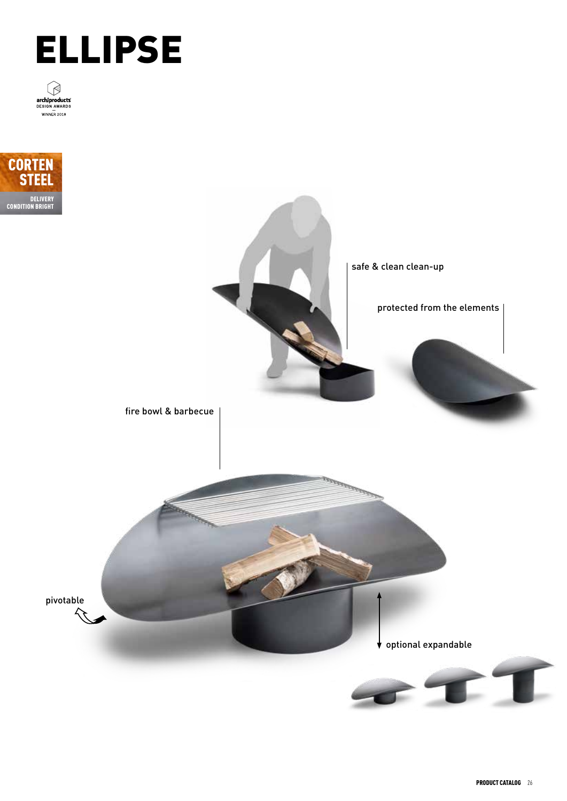